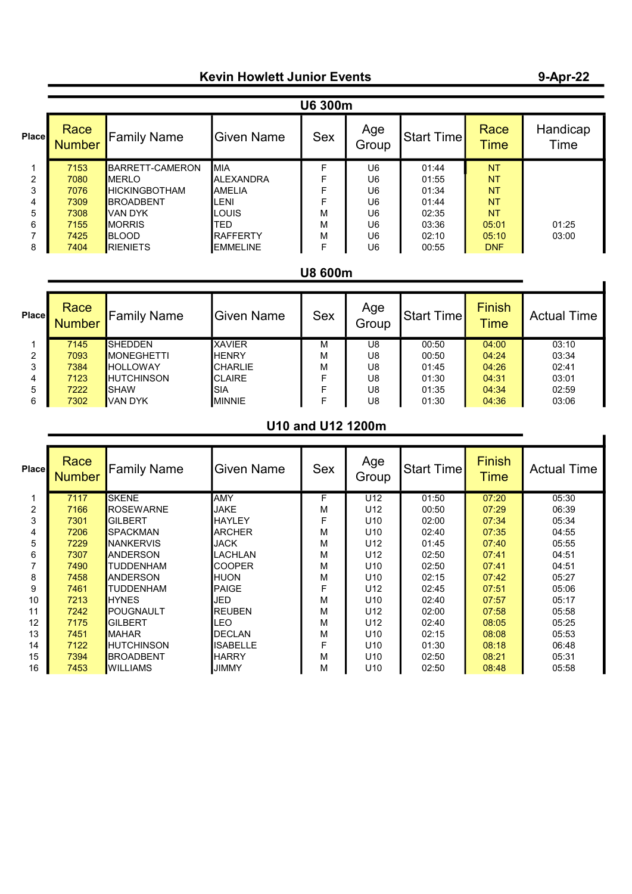## Kevin Howlett Junior Events

#### Place Race<br>Number  $\begin{vmatrix} \mathsf{Family \ Name} \end{vmatrix}$  Given Name  $\begin{vmatrix} \mathsf{Sex} \ \mathsf{Sex} \end{vmatrix}$   $\begin{vmatrix} \mathsf{Age} \ \mathsf{Group} \end{vmatrix}$ Start Time Race **Time** Handicap Time 1 <mark>7153 BARRETT-CAMERON MIA F U6 01:44 NT</mark><br>2 7080 MERLO ALEXANDRA F U6 01:55 NT 2 7080 MERLO ALEXANDRA F U6 01:55 NT<br>3 7076 HICKINGBOTHAM AMELIA F U6 01:34 NT 3 <mark>7076 HICKINGBOTHAM AMELIA F U6 01:34 NT <br>4 7309 BROADBENT LENI F U6 01:44 NT</mark> 4 <mark>7309</mark> BROADBENT LENI F U6 01:44 <mark>NT</mark><br>5 7308 VAN DYK LOUIS M U6 02:35 NT 5 <mark>7308 </mark>VAN DYK LOUIS M U6 02:35 <mark>NT</mark> 6 7155 MORRIS TED M U6 03:36 05:01 01:25 7 <mark>7425 </mark>BLOOD RAFFERTY M U6 02:10 <mark>05:10</mark> 03:00 8 <mark>7404 RIENIETS EMMELINE F U6 00:55 DNF</mark> U6 300m

### U8 600m

| Place | Race<br><b>Number</b> | Family Name        | <b>Given Name</b> | <b>Sex</b> | Age<br>Group | Start Time | <b>Finish</b><br><b>Time</b> | <b>Actual Time</b> |
|-------|-----------------------|--------------------|-------------------|------------|--------------|------------|------------------------------|--------------------|
|       | 7145                  | <b>SHEDDEN</b>     | <b>XAVIER</b>     | м          | U8           | 00:50      | 04:00                        | 03:10              |
| 2     | 7093                  | <b>IMONEGHETTI</b> | <b>HENRY</b>      | м          | U8           | 00:50      | 04:24                        | 03:34              |
| 3     | 7384                  | <b>HOLLOWAY</b>    | <b>CHARLIE</b>    | м          | U8           | 01:45      | 04:26                        | 02:41              |
| 4     | 7123                  | <b>HUTCHINSON</b>  | <b>CLAIRE</b>     |            | U8           | 01:30      | 04:31                        | 03:01              |
| 5     | 7222                  | ISHAW              | ISIA              |            | U8           | 01:35      | 04:34                        | 02:59              |
| 6     | 7302                  | IVAN DYK           | <b>MINNIE</b>     |            | U8           | 01:30      | 04:36                        | 03:06              |

### U10 and U12 1200m

| <b>Place</b> | Race<br><b>Number</b> | <b>Family Name</b> | <b>Given Name</b> | <b>Sex</b> | Age<br>Group    | Start Time | <b>Finish</b><br><b>Time</b> | <b>Actual Time</b> |
|--------------|-----------------------|--------------------|-------------------|------------|-----------------|------------|------------------------------|--------------------|
|              | 7117                  | <b>SKENE</b>       | <b>AMY</b>        | F          | U <sub>12</sub> | 01:50      | 07:20                        | 05:30              |
| 2            | 7166                  | <b>ROSEWARNE</b>   | JAKE              | м          | U <sub>12</sub> | 00:50      | 07:29                        | 06:39              |
| 3            | 7301                  | <b>GILBERT</b>     | <b>HAYLEY</b>     | F          | U <sub>10</sub> | 02:00      | 07:34                        | 05:34              |
| 4            | 7206                  | <b>SPACKMAN</b>    | <b>ARCHER</b>     | M          | U <sub>10</sub> | 02:40      | 07:35                        | 04:55              |
| 5            | 7229                  | INANKERVIS         | <b>JACK</b>       | M          | U <sub>12</sub> | 01:45      | 07:40                        | 05:55              |
| 6            | 7307                  | <b>ANDERSON</b>    | LACHLAN           | M          | U <sub>12</sub> | 02:50      | 07:41                        | 04:51              |
|              | 7490                  | <b>TUDDENHAM</b>   | <b>COOPER</b>     | M          | U <sub>10</sub> | 02:50      | 07:41                        | 04:51              |
| 8            | 7458                  | <b>ANDERSON</b>    | <b>HUON</b>       | М          | U <sub>10</sub> | 02:15      | 07:42                        | 05:27              |
| 9            | 7461                  | <b>TUDDENHAM</b>   | PAIGE             | F          | U <sub>12</sub> | 02:45      | 07:51                        | 05:06              |
| 10           | 7213                  | <b>HYNES</b>       | JED               | M          | U <sub>10</sub> | 02:40      | 07:57                        | 05:17              |
| 11           | 7242                  | POUGNAULT          | <b>REUBEN</b>     | M          | U <sub>12</sub> | 02:00      | 07:58                        | 05:58              |
| 12           | 7175                  | <b>GILBERT</b>     | LEO               | м          | U <sub>12</sub> | 02:40      | 08:05                        | 05:25              |
| 13           | 7451                  | <b>IMAHAR</b>      | <b>DECLAN</b>     | M          | U <sub>10</sub> | 02:15      | 08:08                        | 05:53              |
| 14           | 7122                  | IHUTCHINSON        | ISABELLE          | F          | U <sub>10</sub> | 01:30      | 08:18                        | 06:48              |
| 15           | 7394                  | <b>BROADBENT</b>   | <b>HARRY</b>      | М          | U <sub>10</sub> | 02:50      | 08:21                        | 05:31              |
| 16           | 7453                  | IWILLIAMS          | <b>JIMMY</b>      | м          | U <sub>10</sub> | 02:50      | 08:48                        | 05:58              |

# 9-Apr-22